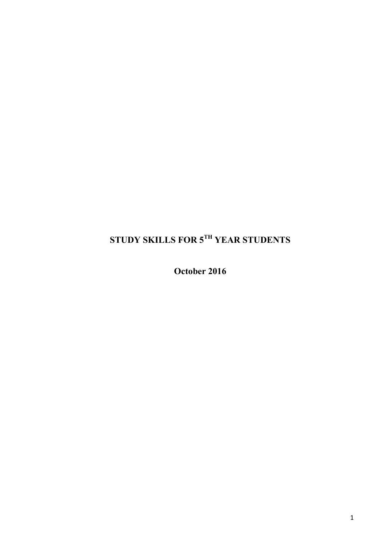# **STUDY SKILLS FOR 5TH YEAR STUDENTS**

**October 2016**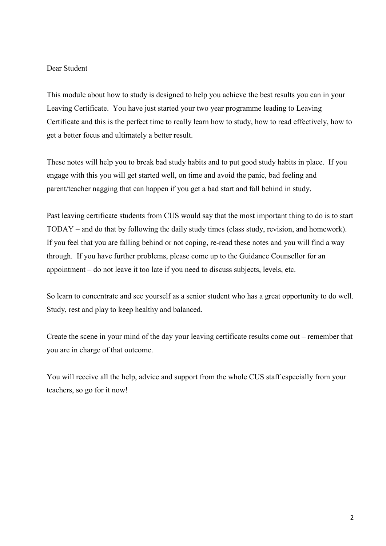### Dear Student

This module about how to study is designed to help you achieve the best results you can in your Leaving Certificate. You have just started your two year programme leading to Leaving Certificate and this is the perfect time to really learn how to study, how to read effectively, how to get a better focus and ultimately a better result.

These notes will help you to break bad study habits and to put good study habits in place. If you engage with this you will get started well, on time and avoid the panic, bad feeling and parent/teacher nagging that can happen if you get a bad start and fall behind in study.

Past leaving certificate students from CUS would say that the most important thing to do is to start TODAY – and do that by following the daily study times (class study, revision, and homework). If you feel that you are falling behind or not coping, re-read these notes and you will find a way through. If you have further problems, please come up to the Guidance Counsellor for an appointment – do not leave it too late if you need to discuss subjects, levels, etc.

So learn to concentrate and see yourself as a senior student who has a great opportunity to do well. Study, rest and play to keep healthy and balanced.

Create the scene in your mind of the day your leaving certificate results come out – remember that you are in charge of that outcome.

You will receive all the help, advice and support from the whole CUS staff especially from your teachers, so go for it now!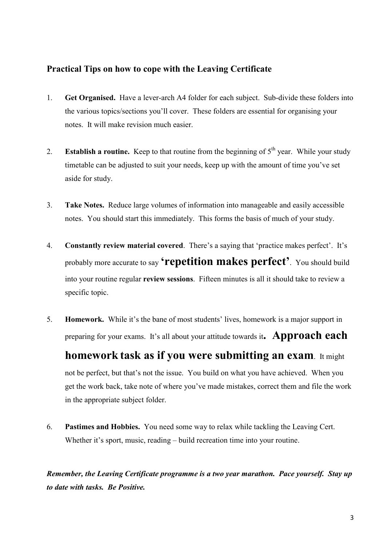### **Practical Tips on how to cope with the Leaving Certificate**

- 1. **Get Organised.** Have a lever-arch A4 folder for each subject. Sub-divide these folders into the various topics/sections you'll cover. These folders are essential for organising your notes. It will make revision much easier.
- 2. **Establish a routine.** Keep to that routine from the beginning of  $5<sup>th</sup>$  year. While your study timetable can be adjusted to suit your needs, keep up with the amount of time you've set aside for study.
- 3. **Take Notes.** Reduce large volumes of information into manageable and easily accessible notes. You should start this immediately. This forms the basis of much of your study.
- 4. **Constantly review material covered**. There's a saying that 'practice makes perfect'. It's probably more accurate to say **'repetition makes perfect'**. You should build into your routine regular **review sessions**. Fifteen minutes is all it should take to review a specific topic.
- 5. **Homework.** While it's the bane of most students' lives, homework is a major support in preparing for your exams. It's all about your attitude towards it**. Approach each**

**homework task as if you were submitting an exam**. It might not be perfect, but that's not the issue. You build on what you have achieved. When you get the work back, take note of where you've made mistakes, correct them and file the work in the appropriate subject folder.

6. **Pastimes and Hobbies.** You need some way to relax while tackling the Leaving Cert. Whether it's sport, music, reading – build recreation time into your routine.

*Remember, the Leaving Certificate programme is a two year marathon. Pace yourself. Stay up to date with tasks. Be Positive.*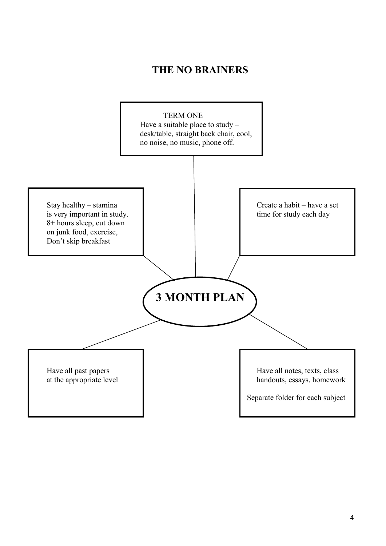## **THE NO BRAINERS**

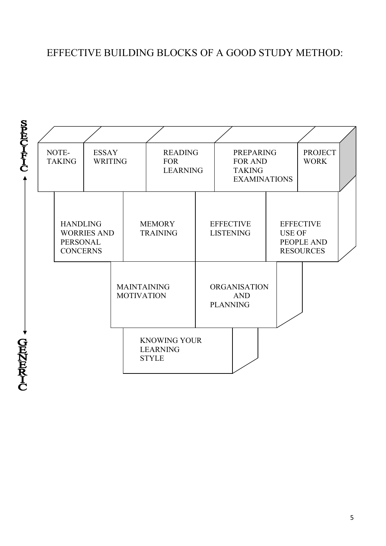## EFFECTIVE BUILDING BLOCKS OF A GOOD STUDY METHOD:



5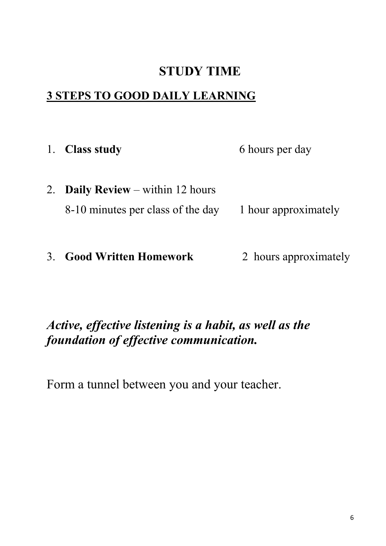# **STUDY TIME**

# **3 STEPS TO GOOD DAILY LEARNING**

| 1. Class study                           | 6 hours per day      |
|------------------------------------------|----------------------|
| 2. <b>Daily Review</b> – within 12 hours |                      |
| 8-10 minutes per class of the day        | 1 hour approximately |
|                                          |                      |

3. **Good Written Homework** 2 hours approximately

# *Active, effective listening is a habit, as well as the foundation of effective communication.*

Form a tunnel between you and your teacher.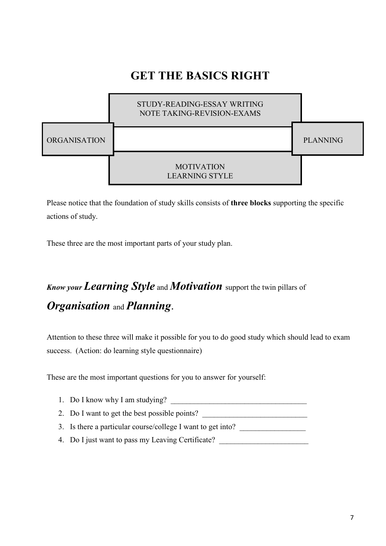# **GET THE BASICS RIGHT**



Please notice that the foundation of study skills consists of **three blocks** supporting the specific actions of study.

These three are the most important parts of your study plan.

# *Know your Learning Style* and *Motivation* support the twin pillars of *Organisation* and *Planning*.

Attention to these three will make it possible for you to do good study which should lead to exam success. (Action: do learning style questionnaire)

These are the most important questions for you to answer for yourself:

- 1. Do I know why I am studying?
- 2. Do I want to get the best possible points?
- 3. Is there a particular course/college I want to get into?
- 4. Do I just want to pass my Leaving Certificate?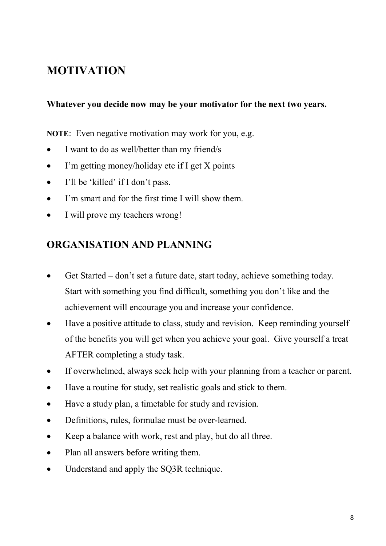# **MOTIVATION**

## **Whatever you decide now may be your motivator for the next two years.**

**NOTE**: Even negative motivation may work for you, e.g.

- I want to do as well/better than my friend/s
- I'm getting money/holiday etc if I get X points
- I'll be 'killed' if I don't pass.
- I'm smart and for the first time I will show them.
- I will prove my teachers wrong!

## **ORGANISATION AND PLANNING**

- Get Started don't set a future date, start today, achieve something today. Start with something you find difficult, something you don't like and the achievement will encourage you and increase your confidence.
- Have a positive attitude to class, study and revision. Keep reminding yourself of the benefits you will get when you achieve your goal. Give yourself a treat AFTER completing a study task.
- If overwhelmed, always seek help with your planning from a teacher or parent.
- Have a routine for study, set realistic goals and stick to them.
- Have a study plan, a timetable for study and revision.
- Definitions, rules, formulae must be over-learned.
- Keep a balance with work, rest and play, but do all three.
- Plan all answers before writing them.
- Understand and apply the SQ3R technique.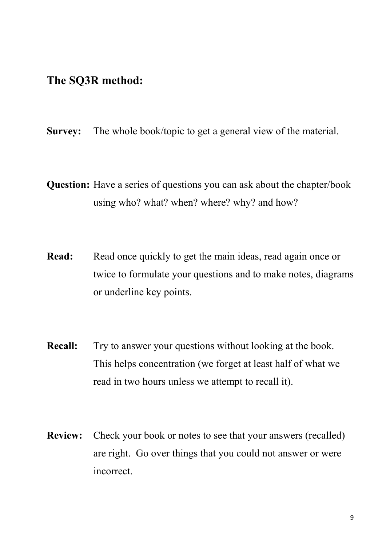## **The SQ3R method:**

- **Survey:** The whole book/topic to get a general view of the material.
- **Question:** Have a series of questions you can ask about the chapter/book using who? what? when? where? why? and how?
- **Read:** Read once quickly to get the main ideas, read again once or twice to formulate your questions and to make notes, diagrams or underline key points.
- **Recall:** Try to answer your questions without looking at the book. This helps concentration (we forget at least half of what we read in two hours unless we attempt to recall it).
- **Review:** Check your book or notes to see that your answers (recalled) are right. Go over things that you could not answer or were incorrect.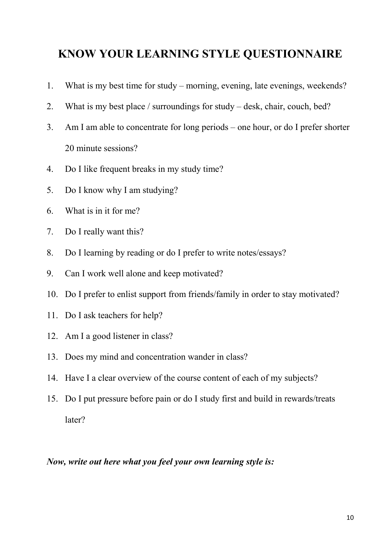# **KNOW YOUR LEARNING STYLE QUESTIONNAIRE**

- 1. What is my best time for study morning, evening, late evenings, weekends?
- 2. What is my best place / surroundings for study desk, chair, couch, bed?
- 3. Am I am able to concentrate for long periods one hour, or do I prefer shorter 20 minute sessions?
- 4. Do I like frequent breaks in my study time?
- 5. Do I know why I am studying?
- 6. What is in it for me?
- 7. Do I really want this?
- 8. Do I learning by reading or do I prefer to write notes/essays?
- 9. Can I work well alone and keep motivated?
- 10. Do I prefer to enlist support from friends/family in order to stay motivated?
- 11. Do I ask teachers for help?
- 12. Am I a good listener in class?
- 13. Does my mind and concentration wander in class?
- 14. Have I a clear overview of the course content of each of my subjects?
- 15. Do I put pressure before pain or do I study first and build in rewards/treats later?

*Now, write out here what you feel your own learning style is:*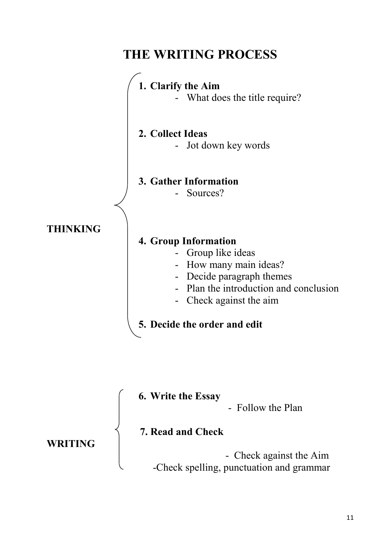

**7. Read and Check** 

**WRITING** 

 - Check against the Aim -Check spelling, punctuation and grammar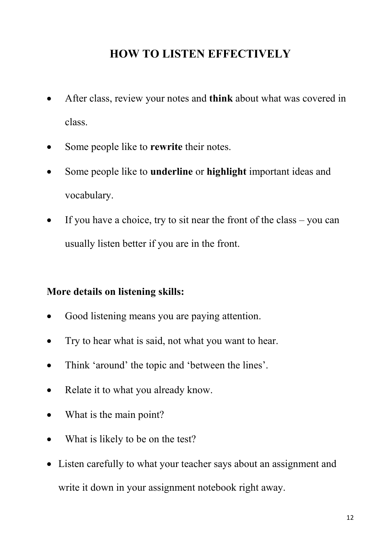# **HOW TO LISTEN EFFECTIVELY**

- After class, review your notes and **think** about what was covered in class.
- Some people like to **rewrite** their notes.
- Some people like to **underline** or **highlight** important ideas and vocabulary.
- If you have a choice, try to sit near the front of the class  $-$  you can usually listen better if you are in the front.

## **More details on listening skills:**

- Good listening means you are paying attention.
- Try to hear what is said, not what you want to hear.
- Think 'around' the topic and 'between the lines'.
- Relate it to what you already know.
- What is the main point?
- What is likely to be on the test?
- Listen carefully to what your teacher says about an assignment and write it down in your assignment notebook right away.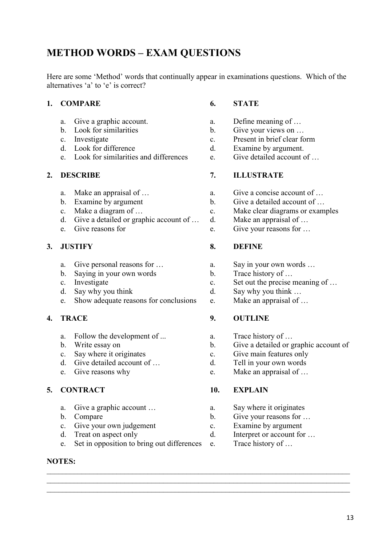## **METHOD WORDS – EXAM QUESTIONS**

Here are some 'Method' words that continually appear in examinations questions. Which of the alternatives 'a' to 'e' is correct?

### **1. COMPARE 6. STATE**

- 
- 
- 
- 
- e. Look for similarities and differences e. Give detailed account of …

- 
- 
- 
- d. Give a detailed or graphic account of ... d. Make an appraisal of ...
- 

- 
- b. Saying in your own words b.
- 
- 
- d. Say why you think d. Say why you think ...<br>
e. Show adequate reasons for conclusions e. Make an appraisal of ... e. Show adequate reasons for conclusions e.

- a. Follow the development of ... **a.** Trace history of ...
- 
- 
- 
- 

### **5. CONTRACT 10. EXPLAIN**

- a. Give a graphic account ... a. Say where it originates
- 
- c. Give your own judgement c. Examine by argument d. Treat on aspect only d. Interpret or account for
- 
- e. Set in opposition to bring out differences e. Trace history of …

### **NOTES:**

- a. Give a graphic account. **a.** Define meaning of ...
- b. Look for similarities b. Give your views on ...
- c. Investigate c. Present in brief clear form
- d. Look for difference d. Examine by argument.
	-

### **2. DESCRIBE 7. ILLUSTRATE**

- a. Make an appraisal of ...  $\qquad \qquad$  a. Give a concise account of ...
	-
- b. Examine by argument b. Give a detailed account of ...<br>
c. Make a diagram of ... c. Make clear diagrams or exam c. Make a diagram of … c. Make clear diagrams or examples
	-
- e. Give reasons for e. Give your reasons for ...

### **3. JUSTIFY 8. DEFINE**

- a. Give personal reasons for … <br>
b. Say in your own words ...<br>
b. Trace history of ...
	-
- c. Investigate c. Set out the precise meaning of …
	-
	-

### **4. TRACE 9. OUTLINE**

- 
- b. Write essay on b. Give a detailed or graphic account of
- c. Say where it originates c. Give main features only
- d. Give detailed account of ... **d.** Tell in your own words
- e. Give reasons why e. Make an appraisal of …

\_\_\_\_\_\_\_\_\_\_\_\_\_\_\_\_\_\_\_\_\_\_\_\_\_\_\_\_\_\_\_\_\_\_\_\_\_\_\_\_\_\_\_\_\_\_\_\_\_\_\_\_\_\_\_\_\_\_\_\_\_\_\_\_\_\_\_\_\_\_\_\_\_\_\_\_\_\_ \_\_\_\_\_\_\_\_\_\_\_\_\_\_\_\_\_\_\_\_\_\_\_\_\_\_\_\_\_\_\_\_\_\_\_\_\_\_\_\_\_\_\_\_\_\_\_\_\_\_\_\_\_\_\_\_\_\_\_\_\_\_\_\_\_\_\_\_\_\_\_\_\_\_\_\_\_\_ \_\_\_\_\_\_\_\_\_\_\_\_\_\_\_\_\_\_\_\_\_\_\_\_\_\_\_\_\_\_\_\_\_\_\_\_\_\_\_\_\_\_\_\_\_\_\_\_\_\_\_\_\_\_\_\_\_\_\_\_\_\_\_\_\_\_\_\_\_\_\_\_\_\_\_\_\_\_

- 
- b. Compare b. Give your reasons for ...
	-
- d. Treat on aspect only d. Interpret or account for ...
	-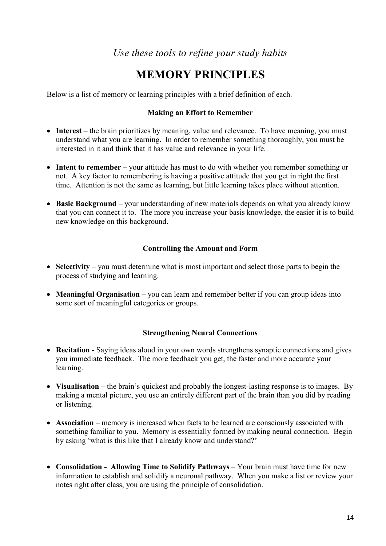## *Use these tools to refine your study habits*

## **MEMORY PRINCIPLES**

Below is a list of memory or learning principles with a brief definition of each.

### **Making an Effort to Remember**

- **Interest** the brain prioritizes by meaning, value and relevance. To have meaning, you must understand what you are learning. In order to remember something thoroughly, you must be interested in it and think that it has value and relevance in your life.
- **Intent to remember** your attitude has must to do with whether you remember something or not. A key factor to remembering is having a positive attitude that you get in right the first time. Attention is not the same as learning, but little learning takes place without attention.
- **Basic Background** your understanding of new materials depends on what you already know that you can connect it to. The more you increase your basis knowledge, the easier it is to build new knowledge on this background.

### **Controlling the Amount and Form**

- **Selectivity** you must determine what is most important and select those parts to begin the process of studying and learning.
- **Meaningful Organisation** you can learn and remember better if you can group ideas into some sort of meaningful categories or groups.

### **Strengthening Neural Connections**

- **Recitation -** Saying ideas aloud in your own words strengthens synaptic connections and gives you immediate feedback. The more feedback you get, the faster and more accurate your learning.
- **Visualisation** the brain's quickest and probably the longest-lasting response is to images. By making a mental picture, you use an entirely different part of the brain than you did by reading or listening.
- **Association** memory is increased when facts to be learned are consciously associated with something familiar to you. Memory is essentially formed by making neural connection. Begin by asking 'what is this like that I already know and understand?'
- **Consolidation Allowing Time to Solidify Pathways** Your brain must have time for new information to establish and solidify a neuronal pathway. When you make a list or review your notes right after class, you are using the principle of consolidation.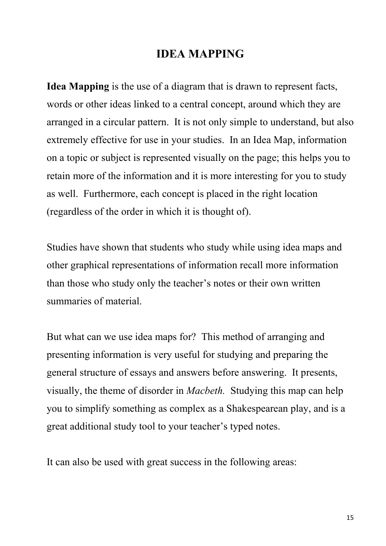## **IDEA MAPPING**

**Idea Mapping** is the use of a diagram that is drawn to represent facts, words or other ideas linked to a central concept, around which they are arranged in a circular pattern. It is not only simple to understand, but also extremely effective for use in your studies. In an Idea Map, information on a topic or subject is represented visually on the page; this helps you to retain more of the information and it is more interesting for you to study as well. Furthermore, each concept is placed in the right location (regardless of the order in which it is thought of).

Studies have shown that students who study while using idea maps and other graphical representations of information recall more information than those who study only the teacher's notes or their own written summaries of material.

But what can we use idea maps for? This method of arranging and presenting information is very useful for studying and preparing the general structure of essays and answers before answering. It presents, visually, the theme of disorder in *Macbeth.* Studying this map can help you to simplify something as complex as a Shakespearean play, and is a great additional study tool to your teacher's typed notes.

It can also be used with great success in the following areas: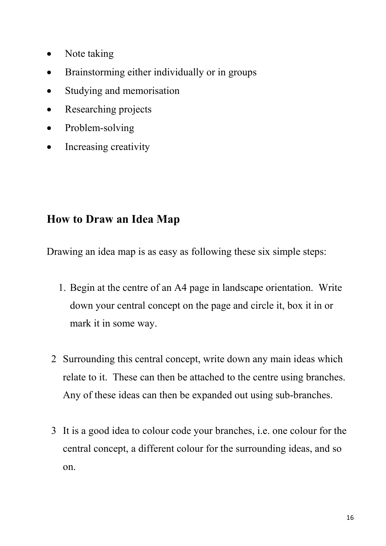- Note taking
- Brainstorming either individually or in groups
- Studying and memorisation
- Researching projects
- Problem-solving
- Increasing creativity

# **How to Draw an Idea Map**

Drawing an idea map is as easy as following these six simple steps:

- 1. Begin at the centre of an A4 page in landscape orientation. Write down your central concept on the page and circle it, box it in or mark it in some way.
- 2 Surrounding this central concept, write down any main ideas which relate to it. These can then be attached to the centre using branches. Any of these ideas can then be expanded out using sub-branches.
- 3 It is a good idea to colour code your branches, i.e. one colour for the central concept, a different colour for the surrounding ideas, and so on.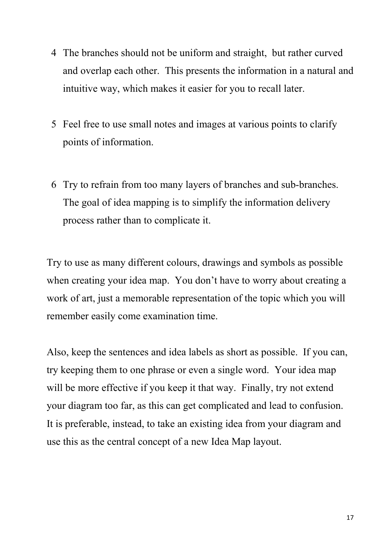- 4 The branches should not be uniform and straight, but rather curved and overlap each other. This presents the information in a natural and intuitive way, which makes it easier for you to recall later.
- 5 Feel free to use small notes and images at various points to clarify points of information.
- 6 Try to refrain from too many layers of branches and sub-branches. The goal of idea mapping is to simplify the information delivery process rather than to complicate it.

Try to use as many different colours, drawings and symbols as possible when creating your idea map. You don't have to worry about creating a work of art, just a memorable representation of the topic which you will remember easily come examination time.

Also, keep the sentences and idea labels as short as possible. If you can, try keeping them to one phrase or even a single word. Your idea map will be more effective if you keep it that way. Finally, try not extend your diagram too far, as this can get complicated and lead to confusion. It is preferable, instead, to take an existing idea from your diagram and use this as the central concept of a new Idea Map layout.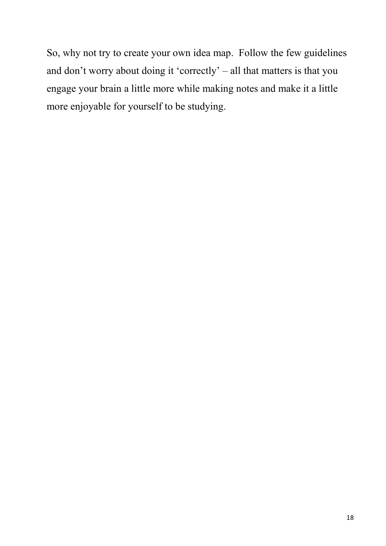So, why not try to create your own idea map. Follow the few guidelines and don't worry about doing it 'correctly' – all that matters is that you engage your brain a little more while making notes and make it a little more enjoyable for yourself to be studying.